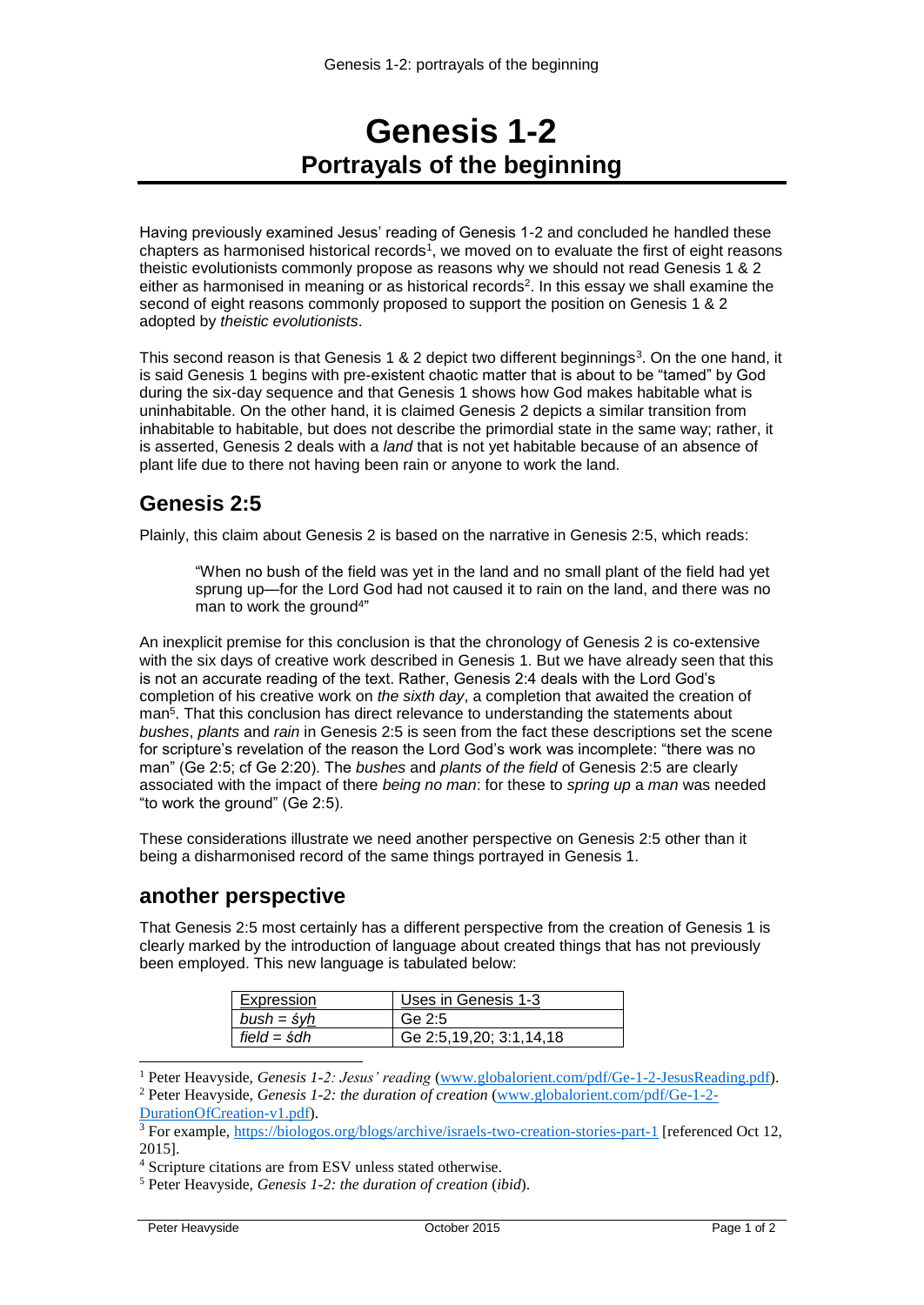## **Genesis 1-2 Portrayals of the beginning**

Having previously examined Jesus' reading of Genesis 1-2 and concluded he handled these chapters as harmonised historical records<sup>1</sup>, we moved on to evaluate the first of eight reasons theistic evolutionists commonly propose as reasons why we should not read Genesis 1 & 2 either as harmonised in meaning or as historical records<sup>2</sup>. In this essay we shall examine the second of eight reasons commonly proposed to support the position on Genesis 1 & 2 adopted by *theistic evolutionists*.

This second reason is that Genesis 1 & 2 depict two different beginnings<sup>3</sup>. On the one hand, it is said Genesis 1 begins with pre-existent chaotic matter that is about to be "tamed" by God during the six-day sequence and that Genesis 1 shows how God makes habitable what is uninhabitable. On the other hand, it is claimed Genesis 2 depicts a similar transition from inhabitable to habitable, but does not describe the primordial state in the same way; rather, it is asserted, Genesis 2 deals with a *land* that is not yet habitable because of an absence of plant life due to there not having been rain or anyone to work the land.

## **Genesis 2:5**

Plainly, this claim about Genesis 2 is based on the narrative in Genesis 2:5, which reads:

"When no bush of the field was yet in the land and no small plant of the field had yet sprung up—for the Lord God had not caused it to rain on the land, and there was no man to work the ground<sup>4"</sup>

An inexplicit premise for this conclusion is that the chronology of Genesis 2 is co-extensive with the six days of creative work described in Genesis 1. But we have already seen that this is not an accurate reading of the text. Rather, Genesis 2:4 deals with the Lord God's completion of his creative work on *the sixth day*, a completion that awaited the creation of man<sup>5</sup> . That this conclusion has direct relevance to understanding the statements about *bushes*, *plants* and *rain* in Genesis 2:5 is seen from the fact these descriptions set the scene for scripture's revelation of the reason the Lord God's work was incomplete: "there was no man" (Ge 2:5; cf Ge 2:20). The *bushes* and *plants of the field* of Genesis 2:5 are clearly associated with the impact of there *being no man*: for these to *spring up* a *man* was needed "to work the ground" (Ge 2:5).

These considerations illustrate we need another perspective on Genesis 2:5 other than it being a disharmonised record of the same things portrayed in Genesis 1.

## **another perspective**

That Genesis 2:5 most certainly has a different perspective from the creation of Genesis 1 is clearly marked by the introduction of language about created things that has not previously been employed. This new language is tabulated below:

| Expression         | Uses in Genesis 1-3     |
|--------------------|-------------------------|
| bush = śy <u>h</u> | Ge 2:5                  |
| field = śdh        | Ge 2:5,19,20; 3:1,14,18 |

<sup>1</sup> Peter Heavyside, *Genesis 1-2: Jesus' reading* [\(www.globalorient.com/pdf/Ge-1-2-JesusReading.pdf\)](http://www.globalorient.com/pdf/Ge-1-2-JesusReading.pdf). <sup>2</sup> Peter Heavyside, *Genesis 1-2: the duration of creation* [\(www.globalorient.com/pdf/Ge-1-2-](http://www.globalorient.com/pdf/Ge-1-2-DurationOfCreation-v1.pdf)

-

[DurationOfCreation-v1.pdf\)](http://www.globalorient.com/pdf/Ge-1-2-DurationOfCreation-v1.pdf).

<sup>&</sup>lt;sup>3</sup> For example,<https://biologos.org/blogs/archive/israels-two-creation-stories-part-1> [referenced Oct 12, 2015].

<sup>4</sup> Scripture citations are from ESV unless stated otherwise.

<sup>5</sup> Peter Heavyside, *Genesis 1-2: the duration of creation* (*ibid*).